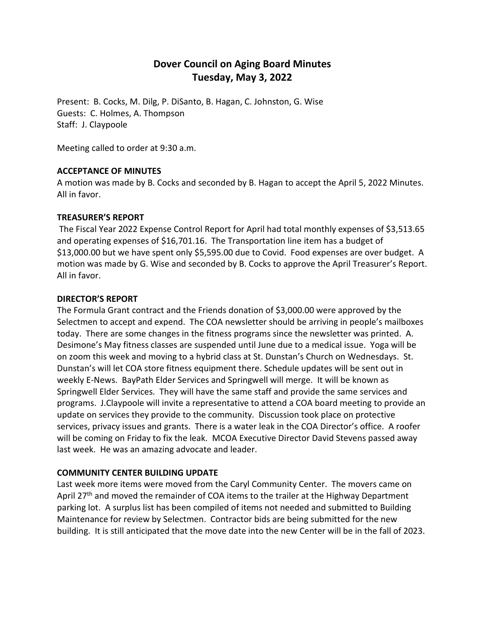# **Dover Council on Aging Board Minutes Tuesday, May 3, 2022**

Present: B. Cocks, M. Dilg, P. DiSanto, B. Hagan, C. Johnston, G. Wise Guests: C. Holmes, A. Thompson Staff: J. Claypoole

Meeting called to order at 9:30 a.m.

# **ACCEPTANCE OF MINUTES**

A motion was made by B. Cocks and seconded by B. Hagan to accept the April 5, 2022 Minutes. All in favor.

### **TREASURER'S REPORT**

The Fiscal Year 2022 Expense Control Report for April had total monthly expenses of \$3,513.65 and operating expenses of \$16,701.16. The Transportation line item has a budget of \$13,000.00 but we have spent only \$5,595.00 due to Covid. Food expenses are over budget. A motion was made by G. Wise and seconded by B. Cocks to approve the April Treasurer's Report. All in favor.

### **DIRECTOR'S REPORT**

The Formula Grant contract and the Friends donation of \$3,000.00 were approved by the Selectmen to accept and expend. The COA newsletter should be arriving in people's mailboxes today. There are some changes in the fitness programs since the newsletter was printed. A. Desimone's May fitness classes are suspended until June due to a medical issue. Yoga will be on zoom this week and moving to a hybrid class at St. Dunstan's Church on Wednesdays. St. Dunstan's will let COA store fitness equipment there. Schedule updates will be sent out in weekly E-News. BayPath Elder Services and Springwell will merge. It will be known as Springwell Elder Services. They will have the same staff and provide the same services and programs. J.Claypoole will invite a representative to attend a COA board meeting to provide an update on services they provide to the community. Discussion took place on protective services, privacy issues and grants. There is a water leak in the COA Director's office. A roofer will be coming on Friday to fix the leak. MCOA Executive Director David Stevens passed away last week. He was an amazing advocate and leader.

# **COMMUNITY CENTER BUILDING UPDATE**

Last week more items were moved from the Caryl Community Center. The movers came on April  $27<sup>th</sup>$  and moved the remainder of COA items to the trailer at the Highway Department parking lot. A surplus list has been compiled of items not needed and submitted to Building Maintenance for review by Selectmen. Contractor bids are being submitted for the new building. It is still anticipated that the move date into the new Center will be in the fall of 2023.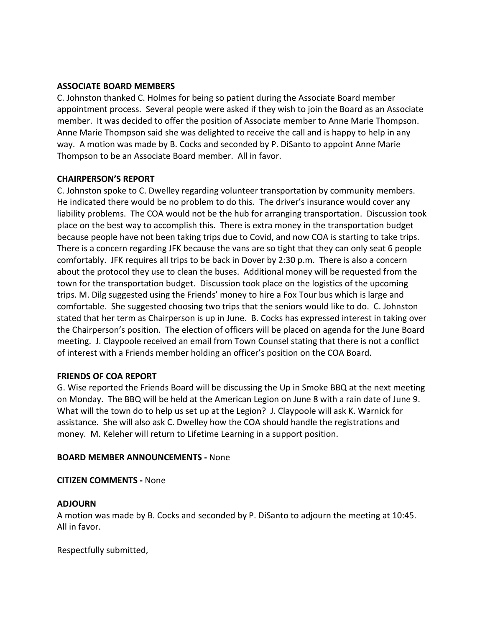## **ASSOCIATE BOARD MEMBERS**

C. Johnston thanked C. Holmes for being so patient during the Associate Board member appointment process. Several people were asked if they wish to join the Board as an Associate member. It was decided to offer the position of Associate member to Anne Marie Thompson. Anne Marie Thompson said she was delighted to receive the call and is happy to help in any way. A motion was made by B. Cocks and seconded by P. DiSanto to appoint Anne Marie Thompson to be an Associate Board member. All in favor.

### **CHAIRPERSON'S REPORT**

C. Johnston spoke to C. Dwelley regarding volunteer transportation by community members. He indicated there would be no problem to do this. The driver's insurance would cover any liability problems. The COA would not be the hub for arranging transportation. Discussion took place on the best way to accomplish this. There is extra money in the transportation budget because people have not been taking trips due to Covid, and now COA is starting to take trips. There is a concern regarding JFK because the vans are so tight that they can only seat 6 people comfortably. JFK requires all trips to be back in Dover by 2:30 p.m. There is also a concern about the protocol they use to clean the buses. Additional money will be requested from the town for the transportation budget. Discussion took place on the logistics of the upcoming trips. M. Dilg suggested using the Friends' money to hire a Fox Tour bus which is large and comfortable. She suggested choosing two trips that the seniors would like to do. C. Johnston stated that her term as Chairperson is up in June. B. Cocks has expressed interest in taking over the Chairperson's position. The election of officers will be placed on agenda for the June Board meeting. J. Claypoole received an email from Town Counsel stating that there is not a conflict of interest with a Friends member holding an officer's position on the COA Board.

# **FRIENDS OF COA REPORT**

G. Wise reported the Friends Board will be discussing the Up in Smoke BBQ at the next meeting on Monday. The BBQ will be held at the American Legion on June 8 with a rain date of June 9. What will the town do to help us set up at the Legion? J. Claypoole will ask K. Warnick for assistance. She will also ask C. Dwelley how the COA should handle the registrations and money. M. Keleher will return to Lifetime Learning in a support position.

# **BOARD MEMBER ANNOUNCEMENTS -** None

#### **CITIZEN COMMENTS -** None

#### **ADJOURN**

A motion was made by B. Cocks and seconded by P. DiSanto to adjourn the meeting at 10:45. All in favor.

Respectfully submitted,